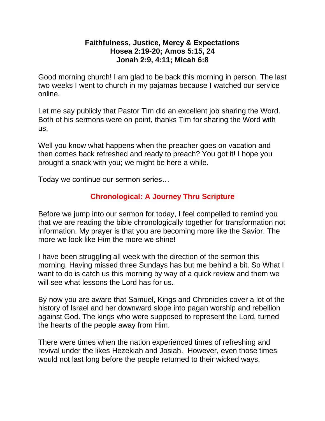### **Faithfulness, Justice, Mercy & Expectations Hosea 2:19-20; Amos 5:15, 24 Jonah 2:9, 4:11; Micah 6:8**

Good morning church! I am glad to be back this morning in person. The last two weeks I went to church in my pajamas because I watched our service online.

Let me say publicly that Pastor Tim did an excellent job sharing the Word. Both of his sermons were on point, thanks Tim for sharing the Word with us.

Well you know what happens when the preacher goes on vacation and then comes back refreshed and ready to preach? You got it! I hope you brought a snack with you; we might be here a while.

Today we continue our sermon series…

# **Chronological: A Journey Thru Scripture**

Before we jump into our sermon for today, I feel compelled to remind you that we are reading the bible chronologically together for transformation not information. My prayer is that you are becoming more like the Savior. The more we look like Him the more we shine!

I have been struggling all week with the direction of the sermon this morning. Having missed three Sundays has but me behind a bit. So What I want to do is catch us this morning by way of a quick review and them we will see what lessons the Lord has for us.

By now you are aware that Samuel, Kings and Chronicles cover a lot of the history of Israel and her downward slope into pagan worship and rebellion against God. The kings who were supposed to represent the Lord, turned the hearts of the people away from Him.

There were times when the nation experienced times of refreshing and revival under the likes Hezekiah and Josiah. However, even those times would not last long before the people returned to their wicked ways.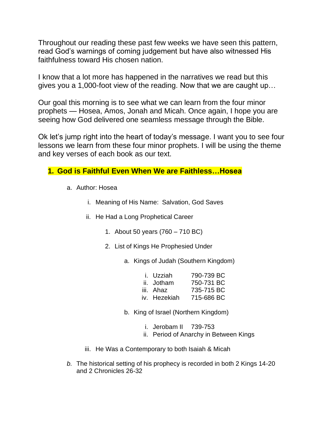Throughout our reading these past few weeks we have seen this pattern, read God's warnings of coming judgement but have also witnessed His faithfulness toward His chosen nation.

I know that a lot more has happened in the narratives we read but this gives you a 1,000-foot view of the reading. Now that we are caught up…

Our goal this morning is to see what we can learn from the four minor prophets — Hosea, Amos, Jonah and Micah. Once again, I hope you are seeing how God delivered one seamless message through the Bible.

Ok let's jump right into the heart of today's message. I want you to see four lessons we learn from these four minor prophets. I will be using the theme and key verses of each book as our text.

## **1. God is Faithful Even When We are Faithless…Hosea**

- a. Author: Hosea
	- i. Meaning of His Name: Salvation, God Saves
	- ii. He Had a Long Prophetical Career
		- 1. About 50 years (760 710 BC)
		- 2. List of Kings He Prophesied Under
			- a. Kings of Judah (Southern Kingdom)

| i. Uzziah    | 790-739 BC |
|--------------|------------|
| ii. Jotham   | 750-731 BC |
| iii. Ahaz    | 735-715 BC |
| iv. Hezekiah | 715-686 BC |

- b. King of Israel (Northern Kingdom)
	- i. Jerobam II 739-753
	- ii. Period of Anarchy in Between Kings
- iii. He Was a Contemporary to both Isaiah & Micah
- *b.* The historical setting of his prophecy is recorded in both 2 Kings 14-20 and 2 Chronicles 26-32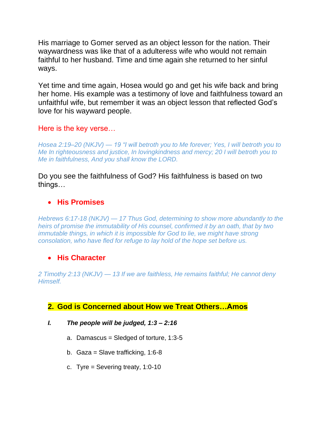His marriage to Gomer served as an object lesson for the nation. Their waywardness was like that of a adulteress wife who would not remain faithful to her husband. Time and time again she returned to her sinful ways.

Yet time and time again, Hosea would go and get his wife back and bring her home. His example was a testimony of love and faithfulness toward an unfaithful wife, but remember it was an object lesson that reflected God's love for his wayward people.

### Here is the key verse…

*Hosea 2:19–20 (NKJV) — 19 "I will betroth you to Me forever; Yes, I will betroth you to Me In righteousness and justice, In lovingkindness and mercy; 20 I will betroth you to Me in faithfulness, And you shall know the LORD.*

Do you see the faithfulness of God? His faithfulness is based on two things…

### • **His Promises**

*Hebrews 6:17-18 (NKJV) — 17 Thus God, determining to show more abundantly to the heirs of promise the immutability of His counsel, confirmed it by an oath, that by two immutable things, in which it is impossible for God to lie, we might have strong consolation, who have fled for refuge to lay hold of the hope set before us.*

## • **His Character**

*2 Timothy 2:13 (NKJV) — 13 If we are faithless, He remains faithful; He cannot deny Himself.*

## **2. God is Concerned about How we Treat Others…Amos**

- *I. The people will be judged, 1:3 – 2:16*
	- a. Damascus = Sledged of torture,  $1:3-5$
	- b. Gaza = Slave trafficking, 1:6-8
	- c. Tyre = Severing treaty, 1:0-10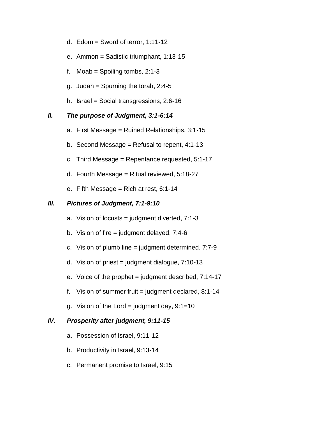- d. Edom  $=$  Sword of terror, 1:11-12
- e. Ammon = Sadistic triumphant, 1:13-15
- f. Moab = Spoiling tombs,  $2:1-3$
- g. Judah = Spurning the torah,  $2:4-5$
- h. Israel = Social transgressions, 2:6-16

#### *II. The purpose of Judgment, 3:1-6:14*

- a. First Message = Ruined Relationships, 3:1-15
- b. Second Message = Refusal to repent,  $4:1-13$
- c. Third Message = Repentance requested, 5:1-17
- d. Fourth Message = Ritual reviewed, 5:18-27
- e. Fifth Message = Rich at rest,  $6:1-14$

#### *III. Pictures of Judgment, 7:1-9:10*

- a. Vision of locusts = judgment diverted,  $7:1-3$
- b. Vision of fire  $=$  judgment delayed, 7:4-6
- c. Vision of plumb line = judgment determined, 7:7-9
- d. Vision of priest = judgment dialogue,  $7:10-13$
- e. Voice of the prophet  $=$  judgment described,  $7:14-17$
- f. Vision of summer fruit = judgment declared,  $8:1-14$
- g. Vision of the Lord = judgment day,  $9:1=10$

#### *IV. Prosperity after judgment, 9:11-15*

- a. Possession of Israel, 9:11-12
- b. Productivity in Israel, 9:13-14
- c. Permanent promise to Israel, 9:15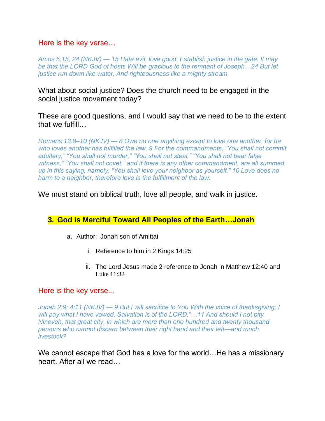### Here is the key verse…

*Amos 5:15, 24 (NKJV) — 15 Hate evil, love good; Establish justice in the gate. It may be that the LORD God of hosts Will be gracious to the remnant of Joseph…24 But let justice run down like water, And righteousness like a mighty stream.*

What about social justice? Does the church need to be engaged in the social justice movement today?

These are good questions, and I would say that we need to be to the extent that we fulfill…

*Romans 13:8–10 (NKJV) — 8 Owe no one anything except to love one another, for he who loves another has fulfilled the law. 9 For the commandments, "You shall not commit adultery," "You shall not murder," "You shall not steal," "You shall not bear false witness," "You shall not covet," and if there is any other commandment, are all summed up in this saying, namely, "You shall love your neighbor as yourself." 10 Love does no harm to a neighbor; therefore love is the fulfillment of the law.*

We must stand on biblical truth, love all people, and walk in justice.

## **3. God is Merciful Toward All Peoples of the Earth…Jonah**

- a. Author: Jonah son of Amittai
	- i. Reference to him in 2 Kings 14:25
	- ii. The Lord Jesus made 2 reference to Jonah in Matthew 12:40 and Luke  $11:32$

#### Here is the key verse...

*Jonah 2:9; 4:11 (NKJV) — 9 But I will sacrifice to You With the voice of thanksgiving; I will pay what I have vowed. Salvation is of the LORD."…11 And should I not pity Nineveh, that great city, in which are more than one hundred and twenty thousand persons who cannot discern between their right hand and their left—and much livestock?*

We cannot escape that God has a love for the world...He has a missionary heart. After all we read…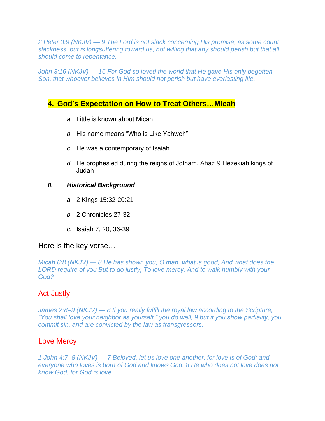*2 Peter 3:9 (NKJV) — 9 The Lord is not slack concerning His promise, as some count slackness, but is longsuffering toward us, not willing that any should perish but that all should come to repentance.*

*John 3:16 (NKJV) — 16 For God so loved the world that He gave His only begotten Son, that whoever believes in Him should not perish but have everlasting life.*

### **4. God's Expectation on How to Treat Others…Micah**

- *a.* Little is known about Micah
- *b.* His name means "Who is Like Yahweh"
- *c.* He was a contemporary of Isaiah
- *d.* He prophesied during the reigns of Jotham, Ahaz & Hezekiah kings of Judah

#### *II. Historical Background*

- *a.* 2 Kings 15:32-20:21
- *b.* 2 Chronicles 27-32
- *c.* Isaiah 7, 20, 36-39

#### Here is the key verse…

*Micah 6:8 (NKJV) — 8 He has shown you, O man, what is good; And what does the LORD require of you But to do justly, To love mercy, And to walk humbly with your God?*

### Act Justly

*James 2:8–9 (NKJV) — 8 If you really fulfill the royal law according to the Scripture, "You shall love your neighbor as yourself," you do well; 9 but if you show partiality, you commit sin, and are convicted by the law as transgressors.*

#### Love Mercy

*1 John 4:7–8 (NKJV) — 7 Beloved, let us love one another, for love is of God; and everyone who loves is born of God and knows God. 8 He who does not love does not know God, for God is love.*